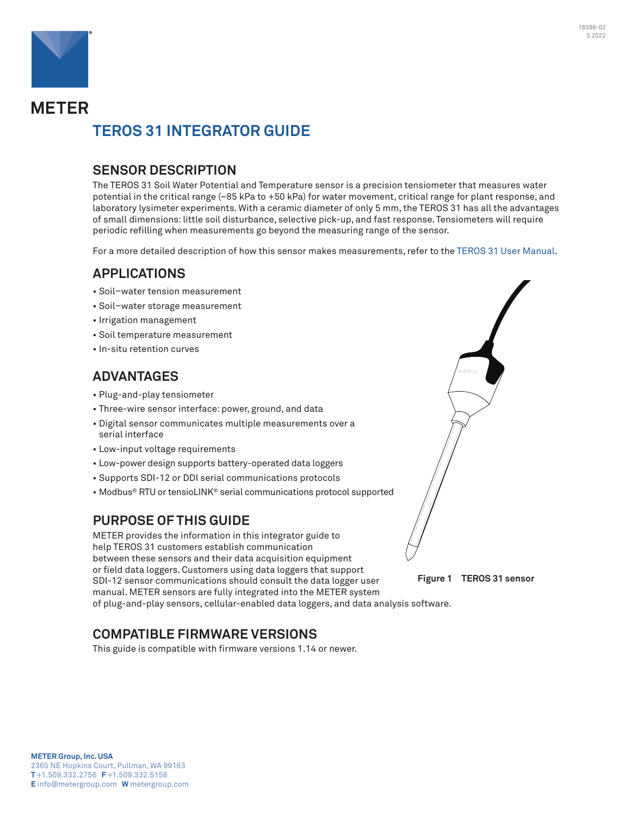

# **METER TEROS 31 INTEGRATOR GUIDE**

## **SENSOR DESCRIPTION**

The TEROS 31 Soil Water Potential and Temperature sensor is a precision tensiometer that measures water potential in the critical range (–85 kPa to +50 kPa) for water movement, critical range for plant response, and laboratory lysimeter experiments. With a ceramic diameter of only 5 mm, the TEROS 31 has all the advantages of small dimensions: little soil disturbance, selective pick-up, and fast response. Tensiometers will require periodic refilling when measurements go beyond the measuring range of the sensor.

For a more detailed description of how this sensor makes measurements, refer to the TEROS 31 [User Manual.](https://www.metergroup.com/teros31-support)

## **APPLICATIONS**

- Soil–water tension measurement
- Soil–water storage measurement
- Irrigation management
- Soil temperature measurement
- In-situ retention curves

## **ADVANTAGES**

- Plug-and-play tensiometer
- Three-wire sensor interface: power, ground, and data
- Digital sensor communicates multiple measurements over a serial interface
- Low-input voltage requirements
- Low-power design supports battery-operated data loggers
- Supports SDI-12 or DDI serial communications protocols
- Modbus® RTU or tensioLINK® serial communications protocol supported

## **PURPOSE OF THIS GUIDE**

METER provides the information in this integrator guide to help TEROS 31 customers establish communication between these sensors and their data acquisition equipment or field data loggers. Customers using data loggers that support SDI-12 sensor communications should consult the data logger user manual. METER sensors are fully integrated into the METER system of plug-and-play sensors, cellular-enabled data loggers, and data analysis software.

## **COMPATIBLE FIRMWARE VERSIONS**

This guide is compatible with firmware versions 1.14 or newer.



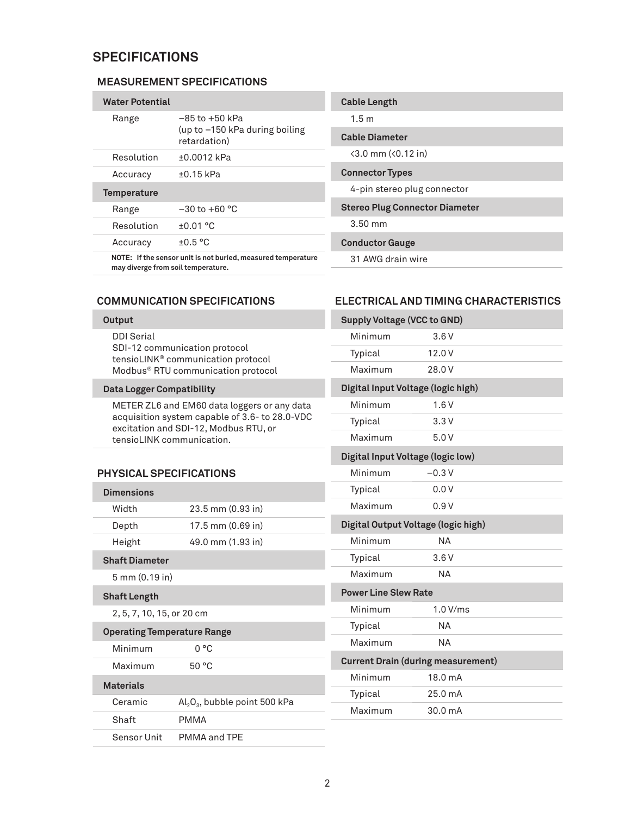## **SPECIFICATIONS**

### **MEASUREMENT SPECIFICATIONS**

| <b>Water Potential</b> |                                                                        |
|------------------------|------------------------------------------------------------------------|
| Range                  | $-85$ to $+50$ kPa<br>(up to $-150$ kPa during boiling<br>retardation) |
| Resolution             | $+0.0012$ kPa                                                          |
| Accuracy               | $+0.15$ kPa                                                            |
| <b>Temperature</b>     |                                                                        |
| Range                  | $-30$ to $+60$ °C                                                      |
| Resolution             | $+0.01$ °C                                                             |
| Accuracy               | $+0.5 °C$                                                              |
|                        | NOTE: If the sensor unit is not buried, measured temperature           |

| Cable Diameter                                        |
|-------------------------------------------------------|
| $\langle 3.0 \text{ mm } (\langle 0.12 \text{ in } )$ |
| <b>Connector Types</b>                                |
| 4-pin stereo plug connector                           |
| Stereo Plug Connector Diameter                        |
| $3.50 \text{ mm}$                                     |
| <b>Conductor Gauge</b>                                |

31 AWG drain wire

**Cable Length** 1.5 m

**may diverge from soil temperature.**

## **COMMUNICATION SPECIFICATIONS**

#### **Output**

DDI Serial SDI-12 communication protocol tensioLINK® communication protocol Modbus® RTU communication protocol

#### **Data Logger Compatibility**

METER ZL6 and EM60 data loggers or any data acquisition system capable of 3.6- to 28.0-VDC excitation and SDI-12, Modbus RTU, or tensioLINK communication.

### **PHYSICAL SPECIFICATIONS**

| <b>Dimensions</b>                  |                                                    |  |  |
|------------------------------------|----------------------------------------------------|--|--|
| Width                              | 23.5 mm (0.93 in)                                  |  |  |
| Depth                              | 17.5 mm (0.69 in)                                  |  |  |
| Height                             | 49.0 mm (1.93 in)                                  |  |  |
| <b>Shaft Diameter</b>              |                                                    |  |  |
| 5 mm (0.19 in)                     |                                                    |  |  |
| <b>Shaft Length</b>                |                                                    |  |  |
| 2, 5, 7, 10, 15, or 20 cm          |                                                    |  |  |
| <b>Operating Temperature Range</b> |                                                    |  |  |
| Minimum                            | 0 °C                                               |  |  |
| Maximum                            | 50 °C                                              |  |  |
| <b>Materials</b>                   |                                                    |  |  |
| Ceramic                            | $\mathrm{Al}_2\mathrm{O}_3$ , bubble point 500 kPa |  |  |
| Shaft                              | PMMA                                               |  |  |
| Sensor Unit                        | PMMA and TPE                                       |  |  |

## **ELECTRICAL AND TIMING CHARACTERISTICS**

| <b>Supply Voltage (VCC to GND)</b>        |           |  |  |
|-------------------------------------------|-----------|--|--|
| Minimum                                   | 3.6V      |  |  |
| Typical                                   | 12.0 V    |  |  |
| Maximum                                   | 28.0 V    |  |  |
| Digital Input Voltage (logic high)        |           |  |  |
| Minimum                                   | 1.6V      |  |  |
| Typical                                   | 3.3V      |  |  |
| Maximum                                   | 5.0V      |  |  |
| Digital Input Voltage (logic low)         |           |  |  |
| Minimum                                   | $-0.3V$   |  |  |
| Typical                                   | 0.0V      |  |  |
| Maximum                                   | 0.9V      |  |  |
| Digital Output Voltage (logic high)       |           |  |  |
| Minimum                                   | <b>NA</b> |  |  |
| Typical                                   | 3.6V      |  |  |
| Maximum                                   | <b>NA</b> |  |  |
| <b>Power Line Slew Rate</b>               |           |  |  |
| Minimum                                   | 1.0 V/ms  |  |  |
| Typical                                   | NА        |  |  |
| Maximum                                   | <b>NA</b> |  |  |
| <b>Current Drain (during measurement)</b> |           |  |  |
| Minimum                                   | 18.0 mA   |  |  |
| Typical                                   | 25.0 mA   |  |  |
| Maximum                                   | 30.0 mA   |  |  |
|                                           |           |  |  |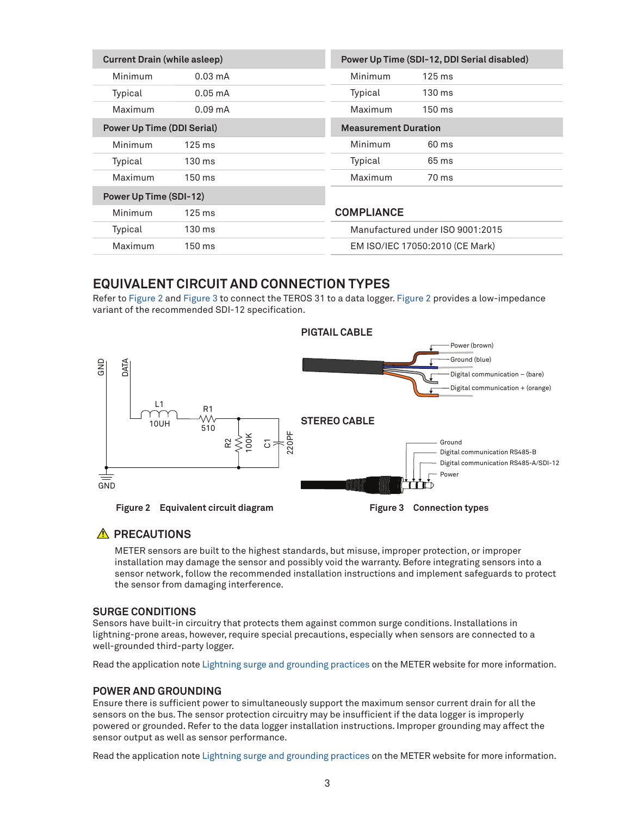| <b>Current Drain (while asleep)</b> |                   | Power Up Time (SDI-12, DDI Serial disabled) |                                  |
|-------------------------------------|-------------------|---------------------------------------------|----------------------------------|
| Minimum                             | $0.03 \text{ mA}$ | Minimum                                     | $125 \text{ ms}$                 |
| Typical                             | $0.05 \text{ mA}$ | Typical                                     | 130 ms                           |
| Maximum                             | $0.09 \text{ mA}$ | Maximum                                     | $150 \text{ ms}$                 |
| <b>Power Up Time (DDI Serial)</b>   |                   | <b>Measurement Duration</b>                 |                                  |
| Minimum                             | $125 \text{ ms}$  | Minimum                                     | 60 ms                            |
| Typical                             | 130 ms            | Typical                                     | 65 ms                            |
| Maximum                             | $150 \text{ ms}$  | Maximum                                     | 70 ms                            |
| Power Up Time (SDI-12)              |                   |                                             |                                  |
| Minimum                             | $125 \text{ ms}$  | <b>COMPLIANCE</b>                           |                                  |
| Typical                             | $130 \text{ ms}$  |                                             | Manufactured under ISO 9001:2015 |
| Maximum                             | $150 \text{ ms}$  |                                             | EM ISO/IEC 17050:2010 (CE Mark)  |

## **EQUIVALENT CIRCUIT AND CONNECTION TYPES**

Refer to [Figure 2](#page-2-0) and [Figure 3](#page-2-1) to connect the TEROS 31 to a data logger. [Figure 2](#page-2-0) provides a low-impedance variant of the recommended SDI-12 specification.



## **A** PRECAUTIONS

<span id="page-2-1"></span><span id="page-2-0"></span>METER sensors are built to the highest standards, but misuse, improper protection, or improper installation may damage the sensor and possibly void the warranty. Before integrating sensors into a sensor network, follow the recommended installation instructions and implement safeguards to protect the sensor from damaging interference.

#### **SURGE CONDITIONS**

Sensors have built-in circuitry that protects them against common surge conditions. Installations in lightning-prone areas, however, require special precautions, especially when sensors are connected to a well-grounded third-party logger.

Read the application note [Lightning surge and grounding practices](https://www.metergroup.com/environment/articles/lightning-surge-grounding-practices/) on the METER website for more information.

### **POWER AND GROUNDING**

Ensure there is sufficient power to simultaneously support the maximum sensor current drain for all the sensors on the bus. The sensor protection circuitry may be insufficient if the data logger is improperly powered or grounded. Refer to the data logger installation instructions. Improper grounding may affect the sensor output as well as sensor performance.

Read the application note [Lightning surge and grounding practices](https://www.metergroup.com/environment/articles/lightning-surge-grounding-practices/) on the METER website for more information.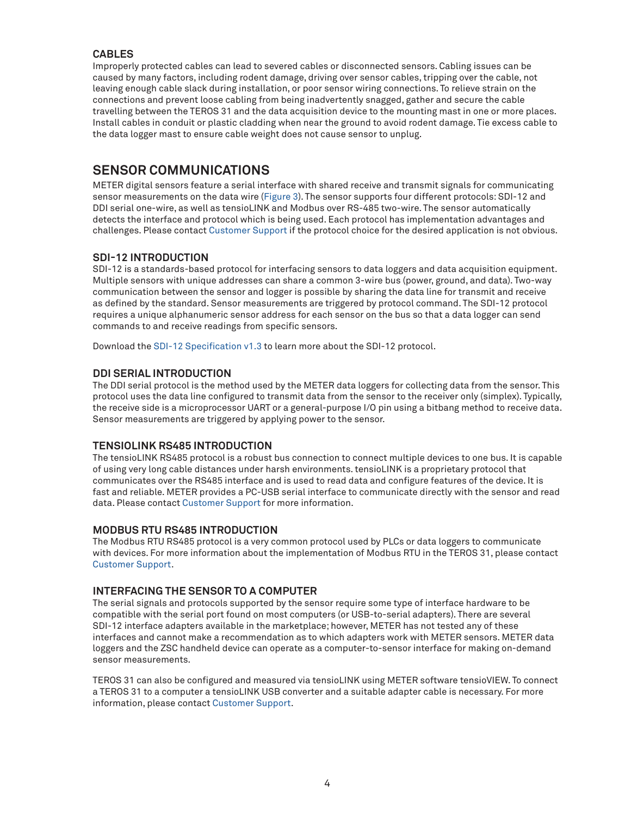## **CABLES**

Improperly protected cables can lead to severed cables or disconnected sensors. Cabling issues can be caused by many factors, including rodent damage, driving over sensor cables, tripping over the cable, not leaving enough cable slack during installation, or poor sensor wiring connections. To relieve strain on the connections and prevent loose cabling from being inadvertently snagged, gather and secure the cable travelling between the TEROS 31 and the data acquisition device to the mounting mast in one or more places. Install cables in conduit or plastic cladding when near the ground to avoid rodent damage. Tie excess cable to the data logger mast to ensure cable weight does not cause sensor to unplug.

## **SENSOR COMMUNICATIONS**

METER digital sensors feature a serial interface with shared receive and transmit signals for communicating sensor measurements on the data wire [\(Figure 3](#page-2-1)). The sensor supports four different protocols: SDI-12 and DDI serial one-wire, as well as tensioLINK and Modbus over RS-485 two-wire. The sensor automatically detects the interface and protocol which is being used. Each protocol has implementation advantages and challenges. Please contact [Customer Support](#page-11-0) if the protocol choice for the desired application is not obvious.

### **SDI-12 INTRODUCTION**

SDI-12 is a standards-based protocol for interfacing sensors to data loggers and data acquisition equipment. Multiple sensors with unique addresses can share a common 3-wire bus (power, ground, and data). Two-way communication between the sensor and logger is possible by sharing the data line for transmit and receive as defined by the standard. Sensor measurements are triggered by protocol command. The SDI-12 protocol requires a unique alphanumeric sensor address for each sensor on the bus so that a data logger can send commands to and receive readings from specific sensors.

Download the [SDI-12 Specification v1.3](https://sdi-12.org/archives_folder/SDI-12_version1_3%20January%2028,%202016.pdf) to learn more about the SDI-12 protocol.

### **DDI SERIAL INTRODUCTION**

The DDI serial protocol is the method used by the METER data loggers for collecting data from the sensor. This protocol uses the data line configured to transmit data from the sensor to the receiver only (simplex). Typically, the receive side is a microprocessor UART or a general-purpose I/O pin using a bitbang method to receive data. Sensor measurements are triggered by applying power to the sensor.

#### **TENSIOLINK RS485 INTRODUCTION**

The tensioLINK RS485 protocol is a robust bus connection to connect multiple devices to one bus. It is capable of using very long cable distances under harsh environments. tensioLINK is a proprietary protocol that communicates over the RS485 interface and is used to read data and configure features of the device. It is fast and reliable. METER provides a PC-USB serial interface to communicate directly with the sensor and read data. Please contact [Customer Support](#page-11-0) for more information.

#### **MODBUS RTU RS485 INTRODUCTION**

The Modbus RTU RS485 protocol is a very common protocol used by PLCs or data loggers to communicate with devices. For more information about the implementation of Modbus RTU in the TEROS 31, please contact [Customer Support](#page-11-0).

## **INTERFACING THE SENSOR TO A COMPUTER**

The serial signals and protocols supported by the sensor require some type of interface hardware to be compatible with the serial port found on most computers (or USB-to-serial adapters). There are several SDI-12 interface adapters available in the marketplace; however, METER has not tested any of these interfaces and cannot make a recommendation as to which adapters work with METER sensors. METER data loggers and the ZSC handheld device can operate as a computer-to-sensor interface for making on-demand sensor measurements.

TEROS 31 can also be configured and measured via tensioLINK using METER software tensioVIEW. To connect a TEROS 31 to a computer a tensioLINK USB converter and a suitable adapter cable is necessary. For more information, please contact [Customer Support](#page-11-0).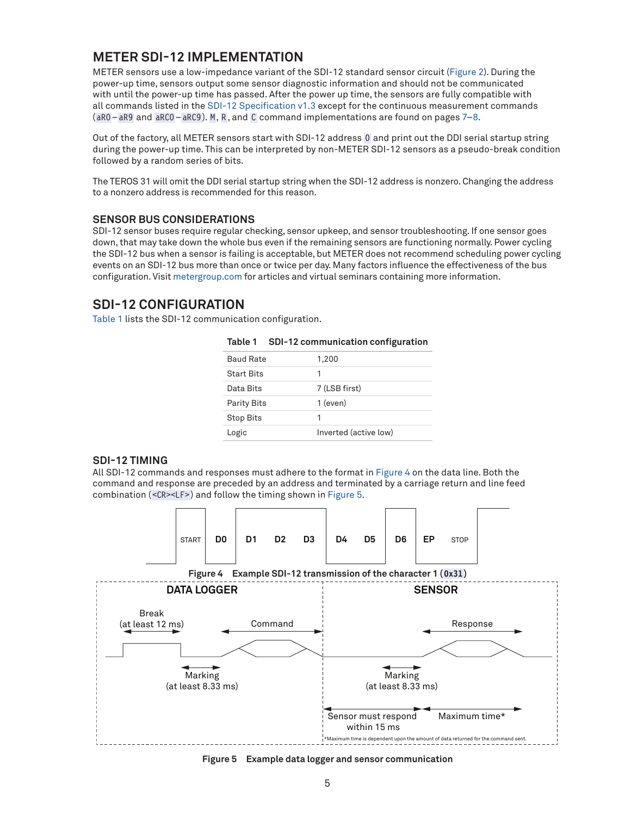## <span id="page-4-3"></span>**METER SDI-12 IMPLEMENTATION**

METER sensors use a low-impedance variant of the SDI-12 standard sensor circuit [\(Figure 2\)](#page-2-0). During the power-up time, sensors output some sensor diagnostic information and should not be communicated with until the power-up time has passed. After the power up time, the sensors are fully compatible with all commands listed in the [SDI-12 Specification v1.3](https://sdi-12.org/archives_folder/SDI-12_version1_3%20January%2028,%202016.pdf) except for the continuous measurement commands (aR0–aR9 and aRC0–aRC9). M, R, and C command implementations are found on pages [7](#page-6-0)–[8](#page-7-0).

Out of the factory, all METER sensors start with SDI-12 address 0 and print out the DDI serial startup string during the power-up time. This can be interpreted by non-METER SDI-12 sensors as a pseudo-break condition followed by a random series of bits.

The TEROS 31 will omit the DDI serial startup string when the SDI-12 address is nonzero. Changing the address to a nonzero address is recommended for this reason.

#### **SENSOR BUS CONSIDERATIONS**

SDI-12 sensor buses require regular checking, sensor upkeep, and sensor troubleshooting. If one sensor goes down, that may take down the whole bus even if the remaining sensors are functioning normally. Power cycling the SDI-12 bus when a sensor is failing is acceptable, but METER does not recommend scheduling power cycling events on an SDI-12 bus more than once or twice per day. Many factors influence the effectiveness of the bus configuration. Visit [metergroup.com](http://www.metergroup.com) for articles and virtual seminars containing more information.

## **SDI-12 CONFIGURATION**

[Table 1](#page-4-0) lists the SDI-12 communication configuration.

|                    | ັ                     |
|--------------------|-----------------------|
| <b>Baud Rate</b>   | 1,200                 |
| <b>Start Bits</b>  | 1                     |
| Data Bits          | 7 (LSB first)         |
| <b>Parity Bits</b> | $1$ (even)            |
| <b>Stop Bits</b>   | 1                     |
| Logic              | Inverted (active low) |

<span id="page-4-0"></span>**Table 1 SDI-12 communication configuration**

#### **SDI-12 TIMING**

All SDI-12 commands and responses must adhere to the format in [Figure 4](#page-4-1) on the data line. Both the command and response are preceded by an address and terminated by a carriage return and line feed combination (<CR><LF>) and follow the timing shown in [Figure 5](#page-4-2).



<span id="page-4-2"></span><span id="page-4-1"></span>**Figure 5 Example data logger and sensor communication**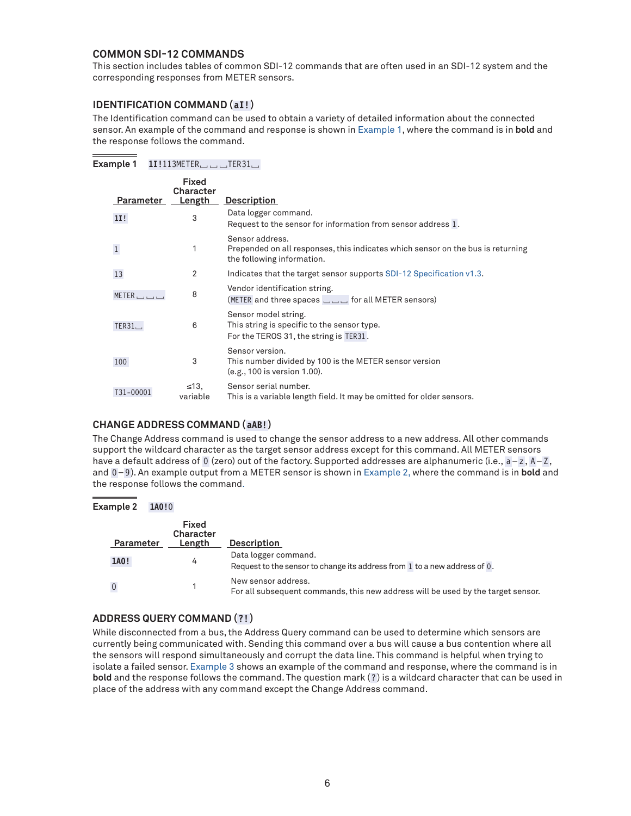### **COMMON SDI-12 COMMANDS**

This section includes tables of common SDI-12 commands that are often used in an SDI-12 system and the corresponding responses from METER sensors.

### **IDENTIFICATION COMMAND (aI!)**

**Example 1 1I!**113METER␣␣␣TER31␣

The Identification command can be used to obtain a variety of detailed information about the connected sensor. An example of the command and response is shown in [Example 1](#page-5-0), where the command is in **bold** and the response follows the command.

<span id="page-5-0"></span>

| Parameter             | <b>Fixed</b><br>Character<br>Length | <b>Description</b>                                                                                                               |
|-----------------------|-------------------------------------|----------------------------------------------------------------------------------------------------------------------------------|
| 11!                   | 3                                   | Data logger command.<br>Request to the sensor for information from sensor address 1.                                             |
| $\mathbf{1}$          | 1                                   | Sensor address.<br>Prepended on all responses, this indicates which sensor on the bus is returning<br>the following information. |
| 13                    | 2                                   | Indicates that the target sensor supports SDI-12 Specification v1.3.                                                             |
| $METER$ $\Box$ $\Box$ | 8                                   | Vendor identification string.<br>(METER and three spaces $\Box$ or all METER sensors)                                            |
| TER31                 | 6                                   | Sensor model string.<br>This string is specific to the sensor type.<br>For the TEROS 31, the string is TER31.                    |
| 100                   | 3                                   | Sensor version.<br>This number divided by 100 is the METER sensor version<br>(e.g., 100 is version 1.00).                        |
| T31-00001             | $\leq 13$<br>variable               | Sensor serial number.<br>This is a variable length field. It may be omitted for older sensors.                                   |

### **CHANGE ADDRESS COMMAND (aAB!)**

The Change Address command is used to change the sensor address to a new address. All other commands support the wildcard character as the target sensor address except for this command. All METER sensors have a default address of 0 (zero) out of the factory. Supported addresses are alphanumeric (i.e., a-z, A-Z, and 0-9). An example output from a METER sensor is shown in [Example 2](#page-5-1), where the command is in **bold** and the response follows the command.

#### **Example 2 1A0!**0

<span id="page-5-1"></span>

| Parameter | <b>Fixed</b><br><b>Character</b><br>Length | <b>Description</b>                                                                                      |
|-----------|--------------------------------------------|---------------------------------------------------------------------------------------------------------|
| 1A0!      | 4                                          | Data logger command.<br>Request to the sensor to change its address from 1 to a new address of 0.       |
| $\bf 0$   |                                            | New sensor address.<br>For all subsequent commands, this new address will be used by the target sensor. |

#### **ADDRESS QUERY COMMAND (?!)**

While disconnected from a bus, the Address Query command can be used to determine which sensors are currently being communicated with. Sending this command over a bus will cause a bus contention where all the sensors will respond simultaneously and corrupt the data line. This command is helpful when trying to isolate a failed sensor. [Example 3](#page-6-1) shows an example of the command and response, where the command is in **bold** and the response follows the command. The question mark (?) is a wildcard character that can be used in place of the address with any command except the Change Address command.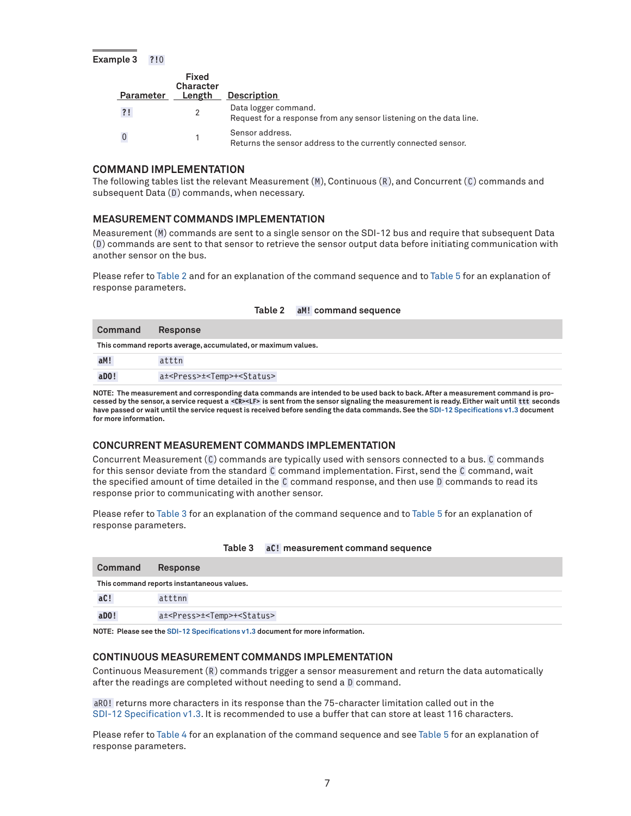#### **Example 3 ?!**0

<span id="page-6-1"></span>

| Parameter | Fixed<br>Character<br>Length | <b>Description</b>                                                                         |
|-----------|------------------------------|--------------------------------------------------------------------------------------------|
| ?!        |                              | Data logger command.<br>Request for a response from any sensor listening on the data line. |
|           |                              | Sensor address.<br>Returns the sensor address to the currently connected sensor.           |

#### **COMMAND IMPLEMENTATION**

The following tables list the relevant Measurement (M), Continuous (R), and Concurrent (C) commands and subsequent Data (D) commands, when necessary.

#### <span id="page-6-0"></span>**MEASUREMENT COMMANDS IMPLEMENTATION**

Measurement (M) commands are sent to a single sensor on the SDI-12 bus and require that subsequent Data (D ) commands are sent to that sensor to retrieve the sensor output data before initiating communication with another sensor on the bus.

Please refer to [Table 2](#page-6-2) and for an explanation of the command sequence and to [Table 5](#page-7-1) for an explanation of response parameters.

| Command               | <b>Response</b>                                               |
|-----------------------|---------------------------------------------------------------|
|                       | This command reports average, accumulated, or maximum values. |
| aM!                   | atttn                                                         |
| $a$ <sub>D</sub> $0!$ | a± <press>±<temp>+<status></status></temp></press>            |

<span id="page-6-2"></span>**Table 2 aM! command sequence**

#### **NOTE: The measurement and corresponding data commands are intended to be used back to back. After a measurement command is processed by the sensor, a service request a <CR><LF> is sent from the sensor signaling the measurement is ready. Either wait until ttt seconds have passed or wait until the service request is received before sending the data commands. See the [SDI-12 Specifications v1.3](https://sdi-12.org/archives_folder/SDI-12_version1_3%20January%2028,%202016.pdf) document for more information.**

## **CONCURRENT MEASUREMENT COMMANDS IMPLEMENTATION**

Concurrent Measurement (C) commands are typically used with sensors connected to a bus. C commands for this sensor deviate from the standard C command implementation. First, send the C command, wait the specified amount of time detailed in the C command response, and then use D commands to read its response prior to communicating with another sensor.

Please refer to [Table 3](#page-6-3) for an explanation of the command sequence and to [Table 5](#page-7-1) for an explanation of response parameters.

| Command | Response                                           |
|---------|----------------------------------------------------|
|         | This command reports instantaneous values.         |
| aC!     | atttnn                                             |
| aD0!    | a± <press>±<temp>+<status></status></temp></press> |

#### <span id="page-6-3"></span>**Table 3 aC! measurement command sequence**

**NOTE: Please see the [SDI-12 Specifications v1.3](https://sdi-12.org/archives_folder/SDI-12_version1_3%20January%2028,%202016.pdf) document for more information.**

### **CONTINUOUS MEASUREMENT COMMANDS IMPLEMENTATION**

Continuous Measurement (R) commands trigger a sensor measurement and return the data automatically after the readings are completed without needing to send a D command.

aR0! returns more characters in its response than the 75-character limitation called out in the [SDI-12 Specification v1.3](https://sdi-12.org/archives_folder/SDI-12_version1_3%20January%2028,%202016.pdf). It is recommended to use a buffer that can store at least 116 characters.

Please refer to [Table 4](#page-7-2) for an explanation of the command sequence and see [Table 5](#page-7-1) for an explanation of response parameters.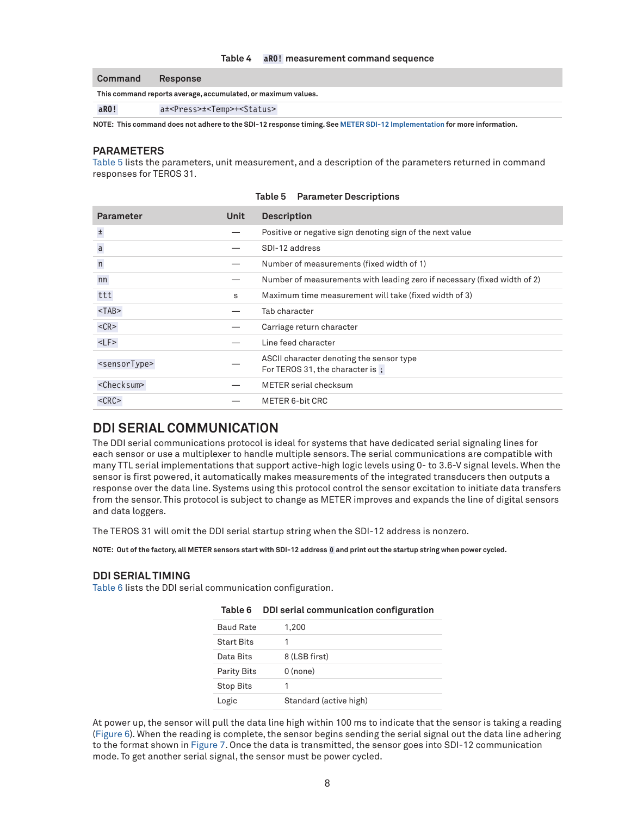#### <span id="page-7-2"></span>**Table 4 aR0! measurement command sequence**

| Command | Response                                                      |
|---------|---------------------------------------------------------------|
|         | This command reports average, accumulated, or maximum values. |
| aR0!    | a± <press>±<temp>+<status></status></temp></press>            |

**NOTE: This command does not adhere to the SDI-12 response timing. See [METER SDI-12 Implementation](#page-4-3) for more information.**

#### <span id="page-7-0"></span>**PARAMETERS**

[Table 5](#page-7-1) lists the parameters, unit measurement, and a description of the parameters returned in command responses for TEROS 31.

| <b>Parameter</b>          | Unit | <b>Description</b>                                                          |
|---------------------------|------|-----------------------------------------------------------------------------|
| $\pm$                     |      | Positive or negative sign denoting sign of the next value                   |
| $\mathsf a$               |      | SDI-12 address                                                              |
| $\overline{\mathsf{n}}$   |      | Number of measurements (fixed width of 1)                                   |
| nn                        |      | Number of measurements with leading zero if necessary (fixed width of 2)    |
| ttt                       | S    | Maximum time measurement will take (fixed width of 3)                       |
| $<$ TAB $>$               |      | Tab character                                                               |
| $<$ CR $>$                |      | Carriage return character                                                   |
| $<$ LF $>$                |      | Line feed character                                                         |
| <sensortype></sensortype> |      | ASCII character denoting the sensor type<br>For TEROS 31, the character is: |
| <checksum></checksum>     |      | METER serial checksum                                                       |
| $<$ CRC $>$               |      | METER 6-bit CRC                                                             |

<span id="page-7-1"></span>

## **DDI SERIAL COMMUNICATION**

The DDI serial communications protocol is ideal for systems that have dedicated serial signaling lines for each sensor or use a multiplexer to handle multiple sensors. The serial communications are compatible with many TTL serial implementations that support active-high logic levels using 0- to 3.6-V signal levels. When the sensor is first powered, it automatically makes measurements of the integrated transducers then outputs a response over the data line. Systems using this protocol control the sensor excitation to initiate data transfers from the sensor. This protocol is subject to change as METER improves and expands the line of digital sensors and data loggers.

The TEROS 31 will omit the DDI serial startup string when the SDI-12 address is nonzero.

**NOTE: Out of the factory, all METER sensors start with SDI-12 address 0 and print out the startup string when power cycled.**

#### **DDI SERIAL TIMING**

[Table 6](#page-7-3) lists the DDI serial communication configuration.

| ιαυισ υ            | <u>DDI SENAI COMMINIQUICATION COMMIS</u> UNGLION |
|--------------------|--------------------------------------------------|
| <b>Baud Rate</b>   | 1,200                                            |
| <b>Start Bits</b>  |                                                  |
| Data Bits          | 8 (LSB first)                                    |
| <b>Parity Bits</b> | $0$ (none)                                       |
| <b>Stop Bits</b>   |                                                  |
| Logic              | Standard (active high)                           |

#### <span id="page-7-3"></span>**Table 6 DDI serial communication configuration**

At power up, the sensor will pull the data line high within 100 ms to indicate that the sensor is taking a reading ([Figure 6\)](#page-8-0). When the reading is complete, the sensor begins sending the serial signal out the data line adhering to the format shown in [Figure 7.](#page-8-1) Once the data is transmitted, the sensor goes into SDI-12 communication mode. To get another serial signal, the sensor must be power cycled.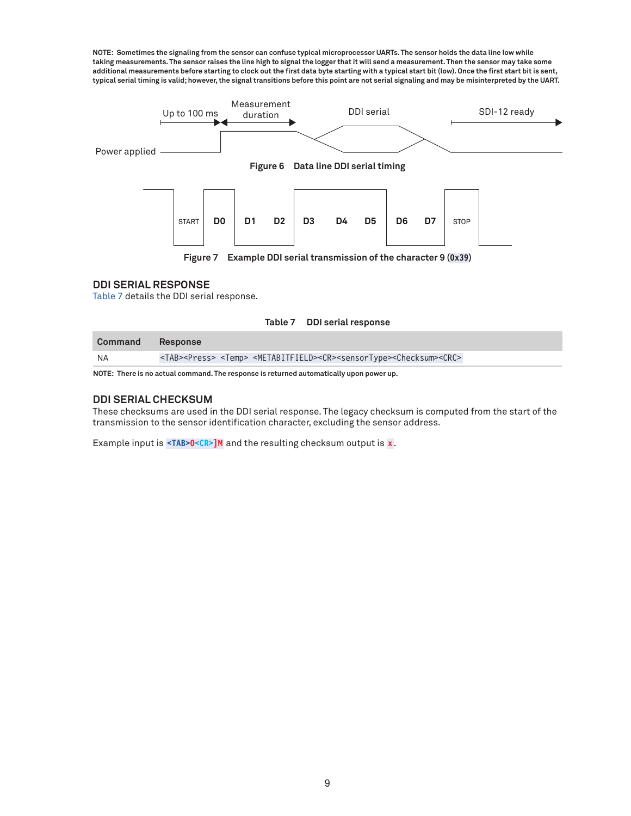**NOTE: Sometimes the signaling from the sensor can confuse typical microprocessor UARTs. The sensor holds the data line low while taking measurements. The sensor raises the line high to signal the logger that it will send a measurement. Then the sensor may take some additional measurements before starting to clock out the first data byte starting with a typical start bit (low). Once the first start bit is sent, typical serial timing is valid; however, the signal transitions before this point are not serial signaling and may be misinterpreted by the UART.**



#### **DDI SERIAL RESPONSE**

[Table 7](#page-8-2) details the DDI serial response.

<span id="page-8-2"></span><span id="page-8-1"></span><span id="page-8-0"></span>**Table 7 DDI serial response**

| Command<br>Response                                                                                                                             |
|-------------------------------------------------------------------------------------------------------------------------------------------------|
| <tab><press> <temp> <metabitfield><cr><sensortype><checksum><crc><br/>NA</crc></checksum></sensortype></cr></metabitfield></temp></press></tab> |

**NOTE: There is no actual command. The response is returned automatically upon power up.** 

#### **DDI SERIAL CHECKSUM**

These checksums are used in the DDI serial response. The legacy checksum is computed from the start of the transmission to the sensor identification character, excluding the sensor address.

Example input is **<TAB>0<CR>]M** and the resulting checksum output is **x**.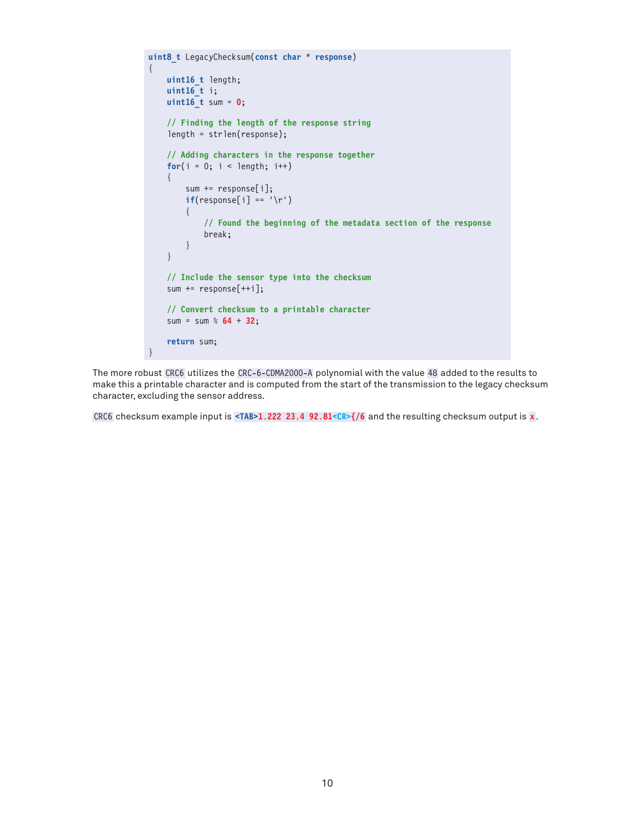```
uint8_t LegacyChecksum(const char * response)
{ 
     uint16_t length;
     uint16_t i;
     uint16_t sum = 0;
     // Finding the length of the response string
     length = strlen(response);
     // Adding characters in the response together
    for(i = 0; i < length; i++) {
         sum += response[i];
        if(response[i] == '\r' {
             // Found the beginning of the metadata section of the response
             break;
         }
     }
     // Include the sensor type into the checksum
     sum += response[++i];
     // Convert checksum to a printable character
     sum = sum % 64 + 32;
     return sum;
}
```
The more robust CRC6 utilizes the CRC-6-CDMA2000-A polynomial with the value 48 added to the results to make this a printable character and is computed from the start of the transmission to the legacy checksum character, excluding the sensor address.

CRC6 checksum example input is **<TAB>1.222 23.4 92.81<CR>{/6** and the resulting checksum output is **x**.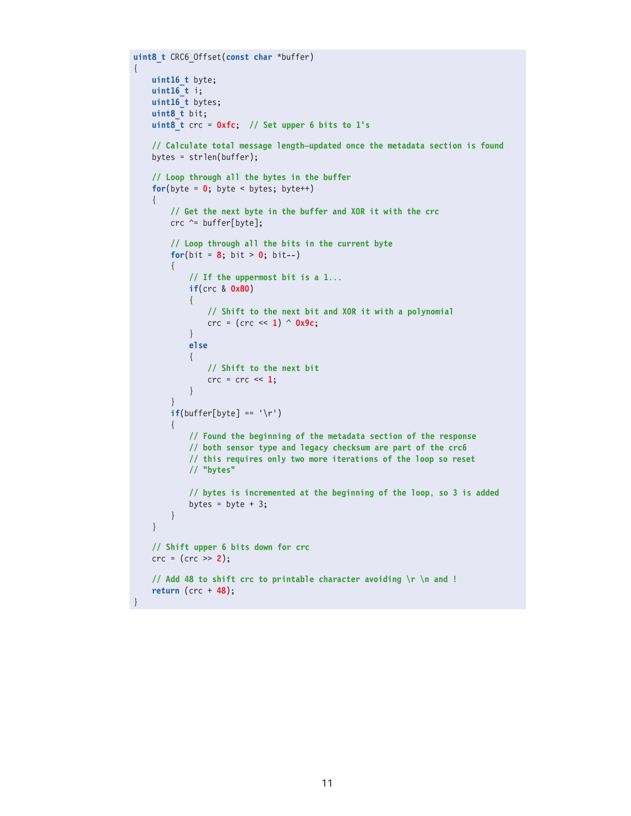```
uint8_t CRC6_Offset(const char *buffer)
     uint16_t byte;
     uint16_t i;
     uint16_t bytes;
      uint8_t bit;
     uint8_t crc = 0xfc; // Set upper 6 bits to 1's
      // Calculate total message length—updated once the metadata section is found
     bytes = strlen(buffer);
      // Loop through all the bytes in the buffer
     for(byte = 0; byte < bytes; byte++)
      {
          // Get the next byte in the buffer and XOR it with the crc
         crc \text{c} = buffer[byte];
          // Loop through all the bits in the current byte
         for(bit = 8; bit > 0; bit--)
          {
               // If the uppermost bit is a 1...
               if(crc & 0x80)
\{ // Shift to the next bit and XOR it with a polynomial
                    crc = (crc << 1) ^ 0x9c;
 }
               else
{ } } } } } } { } } } } { } } } } { } } } } { } } } } { } } } } { } } } } { } } } } { } } } } { } } } } { } } } } { } } } } { } } } } { } } } } { } } } } { } } } } { } } } } { } } } } { } } } } { } } } } { } } } } { } } } 
                    // Shift to the next bit
              \{ \text{crc} = \text{crc} \ll 1; \} }
          }
         if(buffer[byte] == '\r') {
               // Found the beginning of the metadata section of the response
               // both sensor type and legacy checksum are part of the crc6
               // this requires only two more iterations of the loop so reset
               // "bytes"
               // bytes is incremented at the beginning of the loop, so 3 is added
              bytes = byte + 3;
          }
     }
     // Shift upper 6 bits down for crc
     crc = (crc >> 2);
     // Add 48 to shift crc to printable character avoiding \r \n and !
     return (crc + 48);
```
{

}